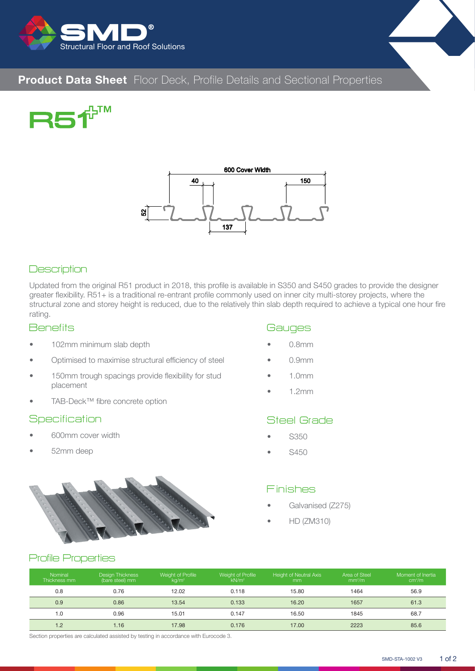







### **Description**

Updated from the original R51 product in 2018, this profile is available in S350 and S450 grades to provide the designer greater flexibility. R51+ is a traditional re-entrant profile commonly used on inner city multi-storey projects, where the structural zone and storey height is reduced, due to the relatively thin slab depth required to achieve a typical one hour fire rating. • Description<br>
Updated from the original R51 product in<br>
greater flexibility. R51+ is a traditional re-<br>
structural zone and storey height is redu<br>
rating.<br>
• 102mm minimum slab depth<br>
• 150mm trough spacings provide f<br>
•

#### **Benefits**

- 102mm minimum slab depth
- Optimised to maximise structural efficiency of steel
- 150mm trough spacings provide flexibility for stud placement
- 

#### **Specification**

- 600mm cover width
- 52mm deep



### **Gauges**

- 0.8mm
- 0.9mm
- 1.0mm
- 1.2mm

#### Steel Grade

- S350
- S450

#### Finishes

- Galvanised (Z275)
- HD (ZM310)

#### Profile Properties

| Nominal<br>Thickness mm | <b>Design Thickness</b><br>(bare steel) mm | Weight of Profile<br>kg/m <sup>2</sup> | Weight of Profile<br>kN/m <sup>2</sup> | <b>Height of Neutral Axis</b><br><sub>mm</sub> | Area of Steel<br>mm <sup>2</sup> /m | Moment of Inertia<br>cm <sup>4</sup> /m |
|-------------------------|--------------------------------------------|----------------------------------------|----------------------------------------|------------------------------------------------|-------------------------------------|-----------------------------------------|
| 0.8                     | 0.76                                       | 12.02                                  | 0.118                                  | 15.80                                          | 1464                                | 56.9                                    |
| 0.9                     | 0.86                                       | 13.54                                  | 0.133                                  | 16.20                                          | 1657                                | 61.3                                    |
| 1.0                     | 0.96                                       | 15.01                                  | 0.147                                  | 16.50                                          | 1845                                | 68.7                                    |
| 1.2                     | 1.16                                       | 17.98                                  | 0.176                                  | 17.00                                          | 2223                                | 85.6                                    |

Section properties are calculated assisted by testing in accordance with Eurocode 3.